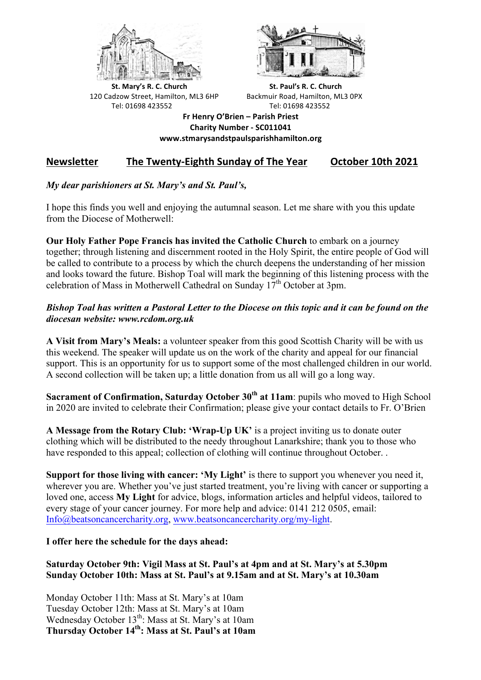



**St.** Mary's R. C. Church St. Paul's R. C. Church 120 Cadzow Street, Hamilton, ML3 6HP Backmuir Road, Hamilton, ML3 0PX Tel: 01698 423552 Tel: 01698 423552

**Fr Henry O'Brien – Parish Priest Charity Number - SC011041 www.stmarysandstpaulsparishhamilton.org**

# Newsletter The Twenty-Eighth Sunday of The Year October 10th 2021

## *My dear parishioners at St. Mary's and St. Paul's,*

I hope this finds you well and enjoying the autumnal season. Let me share with you this update from the Diocese of Motherwell:

**Our Holy Father Pope Francis has invited the Catholic Church** to embark on a journey together; through listening and discernment rooted in the Holy Spirit, the entire people of God will be called to contribute to a process by which the church deepens the understanding of her mission and looks toward the future. Bishop Toal will mark the beginning of this listening process with the celebration of Mass in Motherwell Cathedral on Sunday  $17<sup>th</sup>$  October at 3pm.

### *Bishop Toal has written a Pastoral Letter to the Diocese on this topic and it can be found on the diocesan website: www.rcdom.org.uk*

**A Visit from Mary's Meals:** a volunteer speaker from this good Scottish Charity will be with us this weekend. The speaker will update us on the work of the charity and appeal for our financial support. This is an opportunity for us to support some of the most challenged children in our world. A second collection will be taken up; a little donation from us all will go a long way.

**Sacrament of Confirmation, Saturday October 30th at 11am**: pupils who moved to High School in 2020 are invited to celebrate their Confirmation; please give your contact details to Fr. O'Brien

**A Message from the Rotary Club: 'Wrap-Up UK'** is a project inviting us to donate outer clothing which will be distributed to the needy throughout Lanarkshire; thank you to those who have responded to this appeal; collection of clothing will continue throughout October. .

**Support for those living with cancer: 'My Light'** is there to support you whenever you need it, wherever you are. Whether you've just started treatment, you're living with cancer or supporting a loved one, access **My Light** for advice, blogs, information articles and helpful videos, tailored to every stage of your cancer journey. For more help and advice: 0141 212 0505, email: Info@beatsoncancercharity.org, www.beatsoncancercharity.org/my-light.

#### **I offer here the schedule for the days ahead:**

#### **Saturday October 9th: Vigil Mass at St. Paul's at 4pm and at St. Mary's at 5.30pm Sunday October 10th: Mass at St. Paul's at 9.15am and at St. Mary's at 10.30am**

Monday October 11th: Mass at St. Mary's at 10am Tuesday October 12th: Mass at St. Mary's at 10am Wednesday October 13<sup>th</sup>: Mass at St. Mary's at 10am **Thursday October 14th: Mass at St. Paul's at 10am**